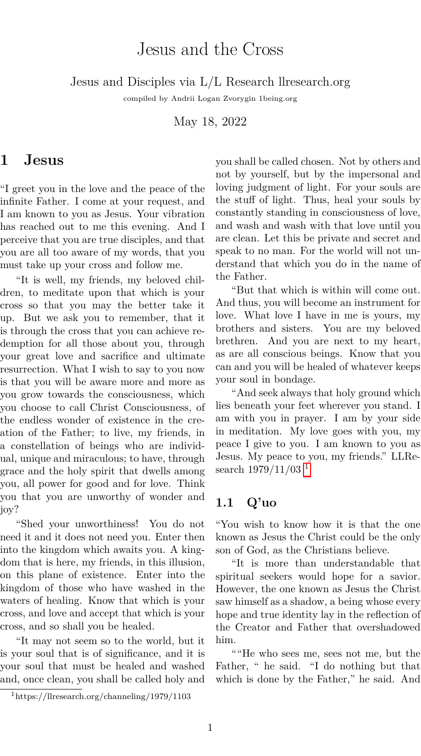# Jesus and the Cross

Jesus and Disciples via L/L Research llresearch.org

compiled by Andrii Logan Zvorygin 1being.org

May 18, 2022

#### **1 Jesus**

"I greet you in the love and the peace of the infinite Father. I come at your request, and I am known to you as Jesus. Your vibration has reached out to me this evening. And I perceive that you are true disciples, and that you are all too aware of my words, that you must take up your cross and follow me.

"It is well, my friends, my beloved children, to meditate upon that which is your cross so that you may the better take it up. But we ask you to remember, that it is through the cross that you can achieve redemption for all those about you, through your great love and sacrifice and ultimate resurrection. What I wish to say to you now is that you will be aware more and more as you grow towards the consciousness, which you choose to call Christ Consciousness, of the endless wonder of existence in the creation of the Father; to live, my friends, in a constellation of beings who are individual, unique and miraculous; to have, through grace and the holy spirit that dwells among you, all power for good and for love. Think you that you are unworthy of wonder and joy?

"Shed your unworthiness! You do not need it and it does not need you. Enter then into the kingdom which awaits you. A kingdom that is here, my friends, in this illusion, on this plane of existence. Enter into the kingdom of those who have washed in the waters of healing. Know that which is your cross, and love and accept that which is your cross, and so shall you be healed.

"It may not seem so to the world, but it is your soul that is of significance, and it is your soul that must be healed and washed and, once clean, you shall be called holy and you shall be called chosen. Not by others and not by yourself, but by the impersonal and loving judgment of light. For your souls are the stuff of light. Thus, heal your souls by constantly standing in consciousness of love, and wash and wash with that love until you are clean. Let this be private and secret and speak to no man. For the world will not understand that which you do in the name of the Father.

"But that which is within will come out. And thus, you will become an instrument for love. What love I have in me is yours, my brothers and sisters. You are my beloved brethren. And you are next to my heart, as are all conscious beings. Know that you can and you will be healed of whatever keeps your soul in bondage.

"And seek always that holy ground which lies beneath your feet wherever you stand. I am with you in prayer. I am by your side in meditation. My love goes with you, my peace I give to you. I am known to you as Jesus. My peace to you, my friends." LLResearch  $1979/11/03$  $1979/11/03$ <sup>1</sup>

#### **1.1 Q'uo**

"You wish to know how it is that the one known as Jesus the Christ could be the only son of God, as the Christians believe.

"It is more than understandable that spiritual seekers would hope for a savior. However, the one known as Jesus the Christ saw himself as a shadow, a being whose every hope and true identity lay in the reflection of the Creator and Father that overshadowed him.

""He who sees me, sees not me, but the Father, " he said. "I do nothing but that which is done by the Father," he said. And

<span id="page-0-0"></span><sup>1</sup>https://llresearch.org/channeling/1979/1103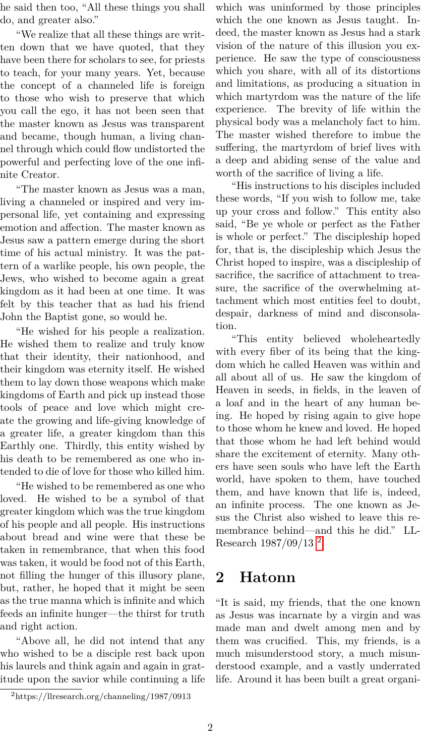he said then too, "All these things you shall do, and greater also."

"We realize that all these things are written down that we have quoted, that they have been there for scholars to see, for priests to teach, for your many years. Yet, because the concept of a channeled life is foreign to those who wish to preserve that which you call the ego, it has not been seen that the master known as Jesus was transparent and became, though human, a living channel through which could flow undistorted the powerful and perfecting love of the one infinite Creator.

"The master known as Jesus was a man, living a channeled or inspired and very impersonal life, yet containing and expressing emotion and affection. The master known as Jesus saw a pattern emerge during the short time of his actual ministry. It was the pattern of a warlike people, his own people, the Jews, who wished to become again a great kingdom as it had been at one time. It was felt by this teacher that as had his friend John the Baptist gone, so would he.

"He wished for his people a realization. He wished them to realize and truly know that their identity, their nationhood, and their kingdom was eternity itself. He wished them to lay down those weapons which make kingdoms of Earth and pick up instead those tools of peace and love which might create the growing and life-giving knowledge of a greater life, a greater kingdom than this Earthly one. Thirdly, this entity wished by his death to be remembered as one who intended to die of love for those who killed him.

"He wished to be remembered as one who loved. He wished to be a symbol of that greater kingdom which was the true kingdom of his people and all people. His instructions about bread and wine were that these be taken in remembrance, that when this food was taken, it would be food not of this Earth, not filling the hunger of this illusory plane, but, rather, he hoped that it might be seen as the true manna which is infinite and which feeds an infinite hunger—the thirst for truth and right action.

"Above all, he did not intend that any who wished to be a disciple rest back upon his laurels and think again and again in gratitude upon the savior while continuing a life which was uninformed by those principles which the one known as Jesus taught. Indeed, the master known as Jesus had a stark vision of the nature of this illusion you experience. He saw the type of consciousness which you share, with all of its distortions and limitations, as producing a situation in which martyrdom was the nature of the life experience. The brevity of life within the physical body was a melancholy fact to him. The master wished therefore to imbue the suffering, the martyrdom of brief lives with a deep and abiding sense of the value and worth of the sacrifice of living a life.

"His instructions to his disciples included these words, "If you wish to follow me, take up your cross and follow." This entity also said, "Be ye whole or perfect as the Father is whole or perfect." The discipleship hoped for, that is, the discipleship which Jesus the Christ hoped to inspire, was a discipleship of sacrifice, the sacrifice of attachment to treasure, the sacrifice of the overwhelming attachment which most entities feel to doubt, despair, darkness of mind and disconsolation.

"This entity believed wholeheartedly with every fiber of its being that the kingdom which he called Heaven was within and all about all of us. He saw the kingdom of Heaven in seeds, in fields, in the leaven of a loaf and in the heart of any human being. He hoped by rising again to give hope to those whom he knew and loved. He hoped that those whom he had left behind would share the excitement of eternity. Many others have seen souls who have left the Earth world, have spoken to them, have touched them, and have known that life is, indeed, an infinite process. The one known as Jesus the Christ also wished to leave this remembrance behind—and this he did." LL-Research 1987/09/13 [2](#page-1-0)

### **2 Hatonn**

"It is said, my friends, that the one known as Jesus was incarnate by a virgin and was made man and dwelt among men and by them was crucified. This, my friends, is a much misunderstood story, a much misunderstood example, and a vastly underrated life. Around it has been built a great organi-

<span id="page-1-0"></span><sup>2</sup>https://llresearch.org/channeling/1987/0913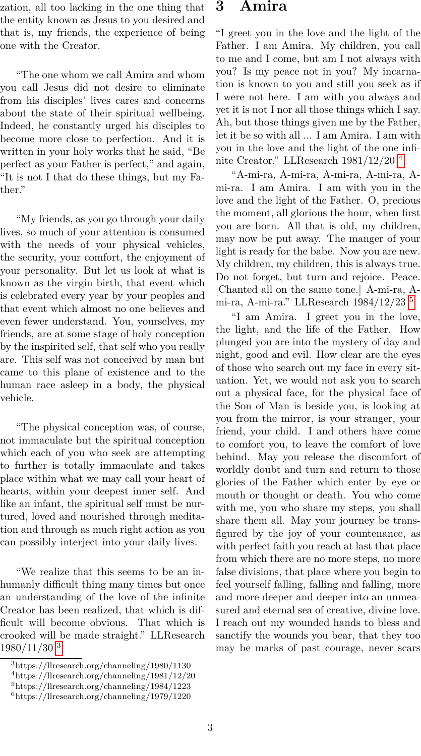zation, all too lacking in the one thing that the entity known as Jesus to you desired and that is, my friends, the experience of being one with the Creator.

"The one whom we call Amira and whom you call Jesus did not desire to eliminate from his disciples' lives cares and concerns about the state of their spiritual wellbeing. Indeed, he constantly urged his disciples to become more close to perfection. And it is written in your holy works that he said, "Be perfect as your Father is perfect," and again, "It is not I that do these things, but my Father."

"My friends, as you go through your daily lives, so much of your attention is consumed with the needs of your physical vehicles, the security, your comfort, the enjoyment of your personality. But let us look at what is known as the virgin birth, that event which is celebrated every year by your peoples and that event which almost no one believes and even fewer understand. You, yourselves, my friends, are at some stage of holy conception by the inspirited self, that self who you really are. This self was not conceived by man but came to this plane of existence and to the human race asleep in a body, the physical vehicle.

"The physical conception was, of course, not immaculate but the spiritual conception which each of you who seek are attempting to further is totally immaculate and takes place within what we may call your heart of hearts, within your deepest inner self. And like an infant, the spiritual self must be nurtured, loved and nourished through meditation and through as much right action as you can possibly interject into your daily lives.

"We realize that this seems to be an inhumanly difficult thing many times but once an understanding of the love of the infinite Creator has been realized, that which is difficult will become obvious. That which is crooked will be made straight." LLResearch  $1980/11/30$  $1980/11/30$  $1980/11/30$ <sup>3</sup>

### **3 Amira**

"I greet you in the love and the light of the Father. I am Amira. My children, you call to me and I come, but am I not always with you? Is my peace not in you? My incarnation is known to you and still you seek as if I were not here. I am with you always and yet it is not I nor all those things which I say. Ah, but those things given me by the Father, let it be so with all ... I am Amira. I am with you in the love and the light of the one infinite Creator." LLResearch 1981/12/20 [4](#page-2-1)

"A-mi-ra, A-mi-ra, A-mi-ra, A-mi-ra, Ami-ra. I am Amira. I am with you in the love and the light of the Father. O, precious the moment, all glorious the hour, when first you are born. All that is old, my children, may now be put away. The manger of your light is ready for the babe. Now you are new. My children, my children, this is always true. Do not forget, but turn and rejoice. Peace. [Chanted all on the same tone.] A-mi-ra, Ami-ra, A-mi-ra." LLResearch 1984/12/23 [5](#page-2-2)

"I am Amira. I greet you in the love, the light, and the life of the Father. How plunged you are into the mystery of day and night, good and evil. How clear are the eyes of those who search out my face in every situation. Yet, we would not ask you to search out a physical face, for the physical face of the Son of Man is beside you, is looking at you from the mirror, is your stranger, your friend, your child. I and others have come to comfort you, to leave the comfort of love behind. May you release the discomfort of worldly doubt and turn and return to those glories of the Father which enter by eye or mouth or thought or death. You who come with me, you who share my steps, you shall share them all. May your journey be transfigured by the joy of your countenance, as with perfect faith you reach at last that place from which there are no more steps, no more false divisions, that place where you begin to feel yourself falling, falling and falling, more and more deeper and deeper into an unmeasured and eternal sea of creative, divine love. I reach out my wounded hands to bless and sanctify the wounds you bear, that they too may be marks of past courage, never scars

<span id="page-2-0"></span> $^3\rm{https://llresearch.org/channeling/1980/1130}$ 

<span id="page-2-1"></span><sup>4</sup>https://llresearch.org/channeling/1981/12/20

<span id="page-2-2"></span><sup>5</sup>https://llresearch.org/channeling/1984/1223

<span id="page-2-3"></span><sup>6</sup>https://llresearch.org/channeling/1979/1220